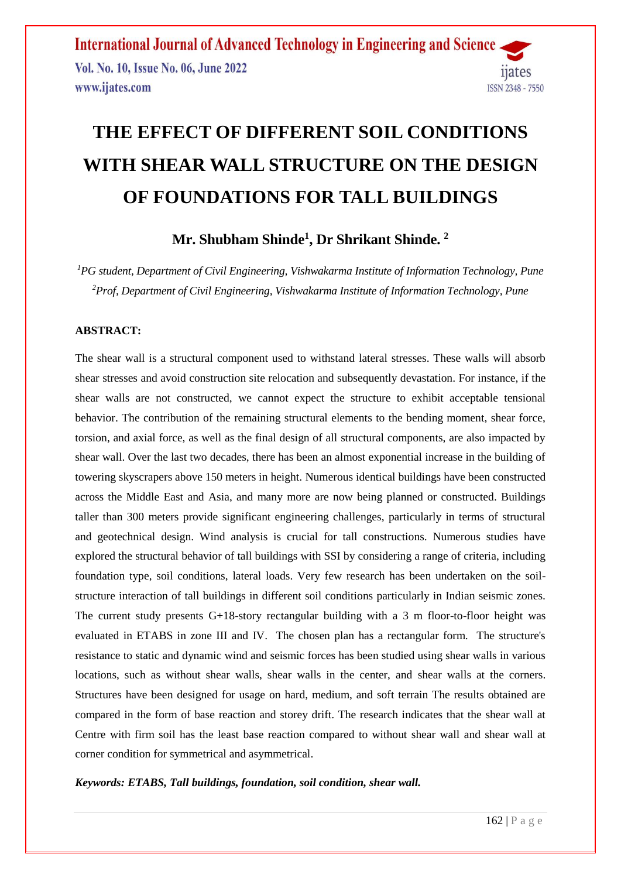# **THE EFFECT OF DIFFERENT SOIL CONDITIONS WITH SHEAR WALL STRUCTURE ON THE DESIGN OF FOUNDATIONS FOR TALL BUILDINGS**

**Mr. Shubham Shinde<sup>1</sup> , Dr Shrikant Shinde. 2**

*<sup>1</sup>PG student, Department of Civil Engineering, Vishwakarma Institute of Information Technology, Pune <sup>2</sup>Prof, Department of Civil Engineering, Vishwakarma Institute of Information Technology, Pune*

#### **ABSTRACT:**

The shear wall is a structural component used to withstand lateral stresses. These walls will absorb shear stresses and avoid construction site relocation and subsequently devastation. For instance, if the shear walls are not constructed, we cannot expect the structure to exhibit acceptable tensional behavior. The contribution of the remaining structural elements to the bending moment, shear force, torsion, and axial force, as well as the final design of all structural components, are also impacted by shear wall. Over the last two decades, there has been an almost exponential increase in the building of towering skyscrapers above 150 meters in height. Numerous identical buildings have been constructed across the Middle East and Asia, and many more are now being planned or constructed. Buildings taller than 300 meters provide significant engineering challenges, particularly in terms of structural and geotechnical design. Wind analysis is crucial for tall constructions. Numerous studies have explored the structural behavior of tall buildings with SSI by considering a range of criteria, including foundation type, soil conditions, lateral loads. Very few research has been undertaken on the soilstructure interaction of tall buildings in different soil conditions particularly in Indian seismic zones. The current study presents G+18-story rectangular building with a 3 m floor-to-floor height was evaluated in ETABS in zone III and IV. The chosen plan has a rectangular form. The structure's resistance to static and dynamic wind and seismic forces has been studied using shear walls in various locations, such as without shear walls, shear walls in the center, and shear walls at the corners. Structures have been designed for usage on hard, medium, and soft terrain The results obtained are compared in the form of base reaction and storey drift. The research indicates that the shear wall at Centre with firm soil has the least base reaction compared to without shear wall and shear wall at corner condition for symmetrical and asymmetrical.

*Keywords: ETABS, Tall buildings, foundation, soil condition, shear wall.*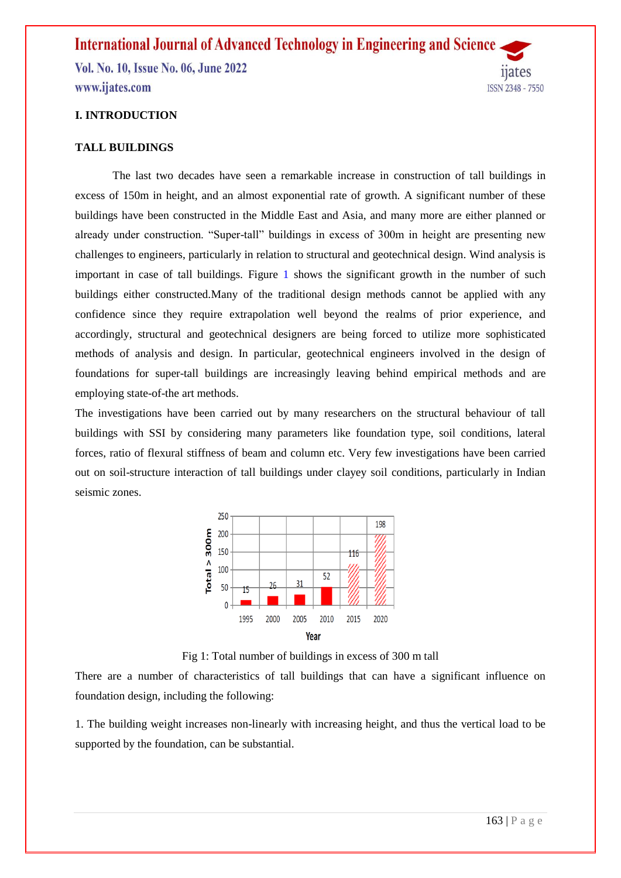#### **I. INTRODUCTION**

#### **TALL BUILDINGS**

The last two decades have seen a remarkable increase in construction of tall buildings in excess of 150m in height, and an almost exponential rate of growth. A significant number of these buildings have been constructed in the Middle East and Asia, and many more are either planned or already under construction. "Super-tall" buildings in excess of 300m in height are presenting new challenges to engineers, particularly in relation to structural and geotechnical design. Wind analysis is important in case of tall buildings. Figure 1 shows the significant growth in the number of such buildings either constructed.Many of the traditional design methods cannot be applied with any confidence since they require extrapolation well beyond the realms of prior experience, and accordingly, structural and geotechnical designers are being forced to utilize more sophisticated methods of analysis and design. In particular, geotechnical engineers involved in the design of foundations for super-tall buildings are increasingly leaving behind empirical methods and are employing state-of-the art methods.

The investigations have been carried out by many researchers on the structural behaviour of tall buildings with SSI by considering many parameters like foundation type, soil conditions, lateral forces, ratio of flexural stiffness of beam and column etc. Very few investigations have been carried out on soil-structure interaction of tall buildings under clayey soil conditions, particularly in Indian seismic zones.



Fig 1: Total number of buildings in excess of 300 m tall

There are a number of characteristics of tall buildings that can have a significant influence on foundation design, including the following:

1. The building weight increases non-linearly with increasing height, and thus the vertical load to be supported by the foundation, can be substantial.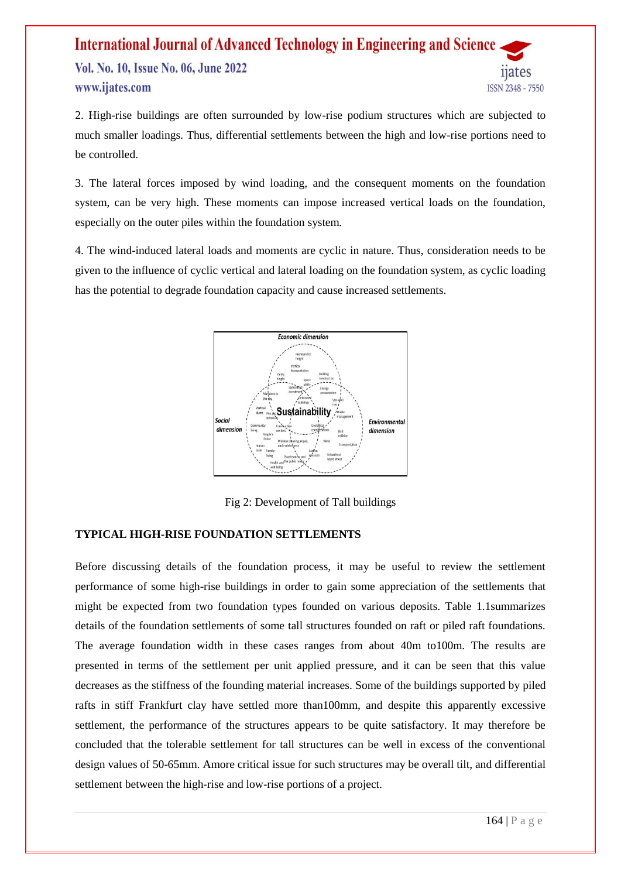2. High-rise buildings are often surrounded by low-rise podium structures which are subjected to much smaller loadings. Thus, differential settlements between the high and low-rise portions need to be controlled.

3. The lateral forces imposed by wind loading, and the consequent moments on the foundation system, can be very high. These moments can impose increased vertical loads on the foundation, especially on the outer piles within the foundation system.

4. The wind-induced lateral loads and moments are cyclic in nature. Thus, consideration needs to be given to the influence of cyclic vertical and lateral loading on the foundation system, as cyclic loading has the potential to degrade foundation capacity and cause increased settlements.



Fig 2: Development of Tall buildings

#### **TYPICAL HIGH-RISE FOUNDATION SETTLEMENTS**

Before discussing details of the foundation process, it may be useful to review the settlement performance of some high-rise buildings in order to gain some appreciation of the settlements that might be expected from two foundation types founded on various deposits. Table 1.1summarizes details of the foundation settlements of some tall structures founded on raft or piled raft foundations. The average foundation width in these cases ranges from about 40m to100m. The results are presented in terms of the settlement per unit applied pressure, and it can be seen that this value decreases as the stiffness of the founding material increases. Some of the buildings supported by piled rafts in stiff Frankfurt clay have settled more than100mm, and despite this apparently excessive settlement, the performance of the structures appears to be quite satisfactory. It may therefore be concluded that the tolerable settlement for tall structures can be well in excess of the conventional design values of 50-65mm. Amore critical issue for such structures may be overall tilt, and differential settlement between the high-rise and low-rise portions of a project.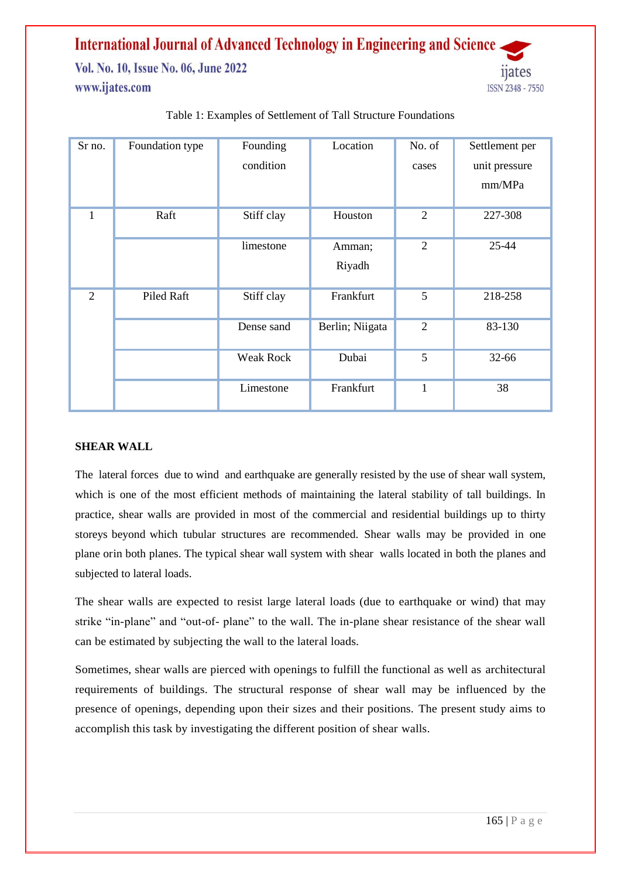| Sr no.         | Foundation type | Founding         | Location        | No. of         | Settlement per |
|----------------|-----------------|------------------|-----------------|----------------|----------------|
|                |                 | condition        |                 | cases          | unit pressure  |
|                |                 |                  |                 |                | mm/MPa         |
|                | Raft            | Stiff clay       | Houston         | $\overline{2}$ | 227-308        |
|                |                 | limestone        | Amman;          | $\overline{2}$ | 25-44          |
|                |                 |                  | Riyadh          |                |                |
| $\overline{2}$ | Piled Raft      | Stiff clay       | Frankfurt       | 5              | 218-258        |
|                |                 | Dense sand       | Berlin; Niigata | $\overline{2}$ | 83-130         |
|                |                 | <b>Weak Rock</b> | Dubai           | 5              | 32-66          |
|                |                 | Limestone        | Frankfurt       | 1              | 38             |

#### Table 1: Examples of Settlement of Tall Structure Foundations

#### **SHEAR WALL**

The lateral forces due to wind and earthquake are generally resisted by the use of shear wall system, which is one of the most efficient methods of maintaining the lateral stability of tall buildings. In practice, shear walls are provided in most of the commercial and residential buildings up to thirty storeys beyond which tubular structures are recommended. Shear walls may be provided in one plane orin both planes. The typical shear wall system with shear walls located in both the planes and subjected to lateral loads.

The shear walls are expected to resist large lateral loads (due to earthquake or wind) that may strike "in-plane" and "out-of- plane" to the wall. The in-plane shear resistance of the shear wall can be estimated by subjecting the wall to the lateral loads.

Sometimes, shear walls are pierced with openings to fulfill the functional as well as architectural requirements of buildings. The structural response of shear wall may be influenced by the presence of openings, depending upon their sizes and their positions. The present study aims to accomplish this task by investigating the different position of shear walls.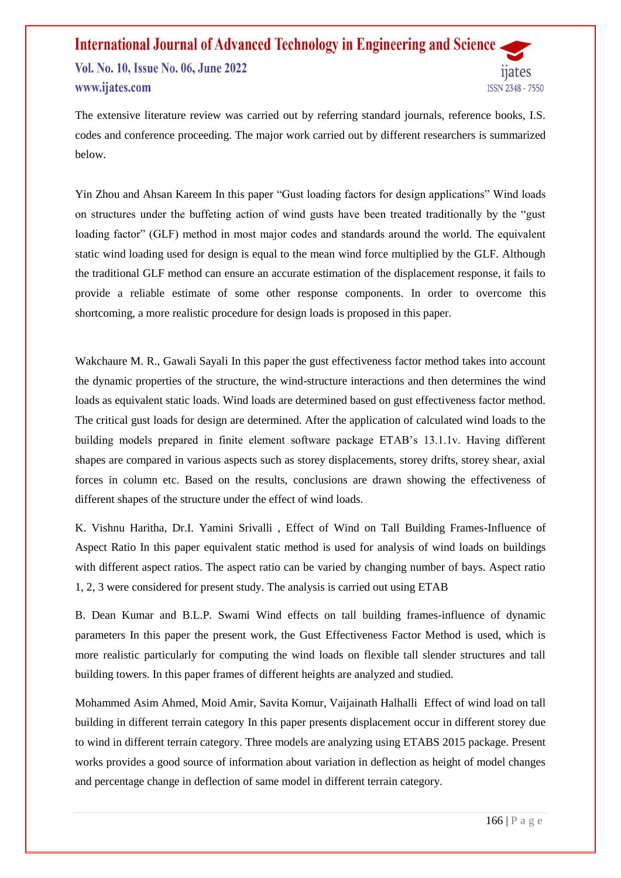The extensive literature review was carried out by referring standard journals, reference books, I.S. codes and conference proceeding. The major work carried out by different researchers is summarized below.

Yin Zhou and Ahsan Kareem In this paper "Gust loading factors for design applications" Wind loads on structures under the buffeting action of wind gusts have been treated traditionally by the "gust loading factor" (GLF) method in most major codes and standards around the world. The equivalent static wind loading used for design is equal to the mean wind force multiplied by the GLF. Although the traditional GLF method can ensure an accurate estimation of the displacement response, it fails to provide a reliable estimate of some other response components. In order to overcome this shortcoming, a more realistic procedure for design loads is proposed in this paper.

Wakchaure M. R., Gawali Sayali In this paper the gust effectiveness factor method takes into account the dynamic properties of the structure, the wind-structure interactions and then determines the wind loads as equivalent static loads. Wind loads are determined based on gust effectiveness factor method. The critical gust loads for design are determined. After the application of calculated wind loads to the building models prepared in finite element software package ETAB's 13.1.1v. Having different shapes are compared in various aspects such as storey displacements, storey drifts, storey shear, axial forces in column etc. Based on the results, conclusions are drawn showing the effectiveness of different shapes of the structure under the effect of wind loads.

K. Vishnu Haritha, Dr.I. Yamini Srivalli , Effect of Wind on Tall Building Frames-Influence of Aspect Ratio In this paper equivalent static method is used for analysis of wind loads on buildings with different aspect ratios. The aspect ratio can be varied by changing number of bays. Aspect ratio 1, 2, 3 were considered for present study. The analysis is carried out using ETAB

B. Dean Kumar and B.L.P. Swami Wind effects on tall building frames-influence of dynamic parameters In this paper the present work, the Gust Effectiveness Factor Method is used, which is more realistic particularly for computing the wind loads on flexible tall slender structures and tall building towers. In this paper frames of different heights are analyzed and studied.

Mohammed Asim Ahmed, Moid Amir, Savita Komur, Vaijainath Halhalli Effect of wind load on tall building in different terrain category In this paper presents displacement occur in different storey due to wind in different terrain category. Three models are analyzing using ETABS 2015 package. Present works provides a good source of information about variation in deflection as height of model changes and percentage change in deflection of same model in different terrain category.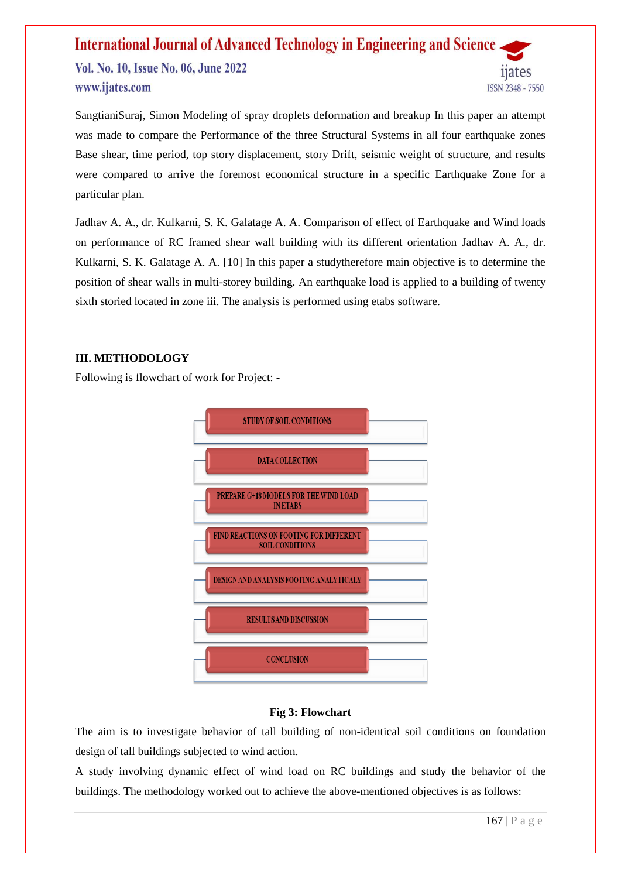SangtianiSuraj, Simon Modeling of spray droplets deformation and breakup In this paper an attempt was made to compare the Performance of the three Structural Systems in all four earthquake zones Base shear, time period, top story displacement, story Drift, seismic weight of structure, and results were compared to arrive the foremost economical structure in a specific Earthquake Zone for a particular plan.

Jadhav A. A., dr. Kulkarni, S. K. Galatage A. A. Comparison of effect of Earthquake and Wind loads on performance of RC framed shear wall building with its different orientation Jadhav A. A., dr. Kulkarni, S. K. Galatage A. A. [10] In this paper a studytherefore main objective is to determine the position of shear walls in multi-storey building. An earthquake load is applied to a building of twenty sixth storied located in zone iii. The analysis is performed using etabs software.

#### **III. METHODOLOGY**

Following is flowchart of work for Project: -



#### **Fig 3: Flowchart**

The aim is to investigate behavior of tall building of non-identical soil conditions on foundation design of tall buildings subjected to wind action.

A study involving dynamic effect of wind load on RC buildings and study the behavior of the buildings. The methodology worked out to achieve the above-mentioned objectives is as follows: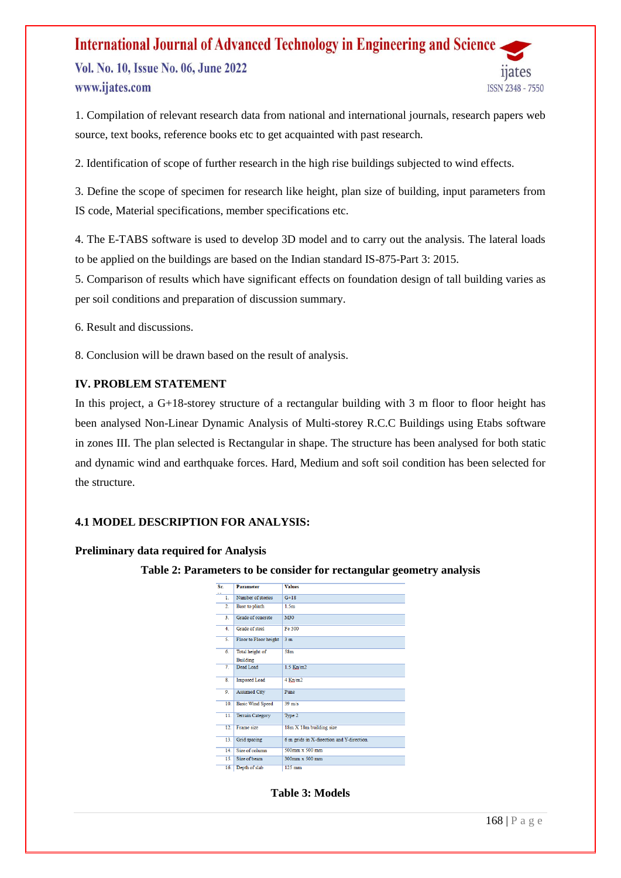Vol. No. 10, Issue No. 06, June 2022 www.ijates.com



1. Compilation of relevant research data from national and international journals, research papers web source, text books, reference books etc to get acquainted with past research.

2. Identification of scope of further research in the high rise buildings subjected to wind effects.

3. Define the scope of specimen for research like height, plan size of building, input parameters from IS code, Material specifications, member specifications etc.

4. The E-TABS software is used to develop 3D model and to carry out the analysis. The lateral loads to be applied on the buildings are based on the Indian standard IS-875-Part 3: 2015.

5. Comparison of results which have significant effects on foundation design of tall building varies as per soil conditions and preparation of discussion summary.

6. Result and discussions.

8. Conclusion will be drawn based on the result of analysis.

#### **IV. PROBLEM STATEMENT**

In this project, a G+18-storey structure of a rectangular building with 3 m floor to floor height has been analysed Non-Linear Dynamic Analysis of Multi-storey R.C.C Buildings using Etabs software in zones III. The plan selected is Rectangular in shape. The structure has been analysed for both static and dynamic wind and earthquake forces. Hard, Medium and soft soil condition has been selected for the structure.

#### **4.1 MODEL DESCRIPTION FOR ANALYSIS:**

#### **Preliminary data required for Analysis**

#### **Table 2: Parameters to be consider for rectangular geometry analysis**

| Sr.               | <b>Parameter</b>        | <b>Values</b>                             |
|-------------------|-------------------------|-------------------------------------------|
| 1.                | Number of stories       | $G+18$                                    |
| $\overline{2}$    | Base to plinth          | 1.5 <sub>m</sub>                          |
| $\overline{3}$ .  | Grade of concrete       | M30                                       |
| 4.                | Grade of steel          | Fe 500                                    |
| 5.                | Floor to Floor height   | 3 <sub>m</sub>                            |
| 6.                | Total height of         | 58 <sub>m</sub>                           |
|                   | <b>Building</b>         |                                           |
| $\overline{\tau}$ | Dead Load               | $1.5$ Kn/m2                               |
| 8.                | <b>Imposed Load</b>     | $4$ Kn/m2                                 |
| 9.                | <b>Assumed City</b>     | Pune                                      |
| 10.               | <b>Basic Wind Speed</b> | $39 \text{ m/s}$                          |
| 11.               | <b>Terrain Category</b> | Type 2                                    |
| 12.               | Frame size              | 18m X 18m building size                   |
| 13.               | Grid spacing            | 6 m grids in X-direction and Y-direction. |
| 14.               | Size of column          | $500$ mm $x$ 500 mm                       |
| 15.               | Size of beam            | 300mm x 500 mm                            |
| 16.               | Depth of slab           | $125 \text{ mm}$                          |

**Table 3: Models**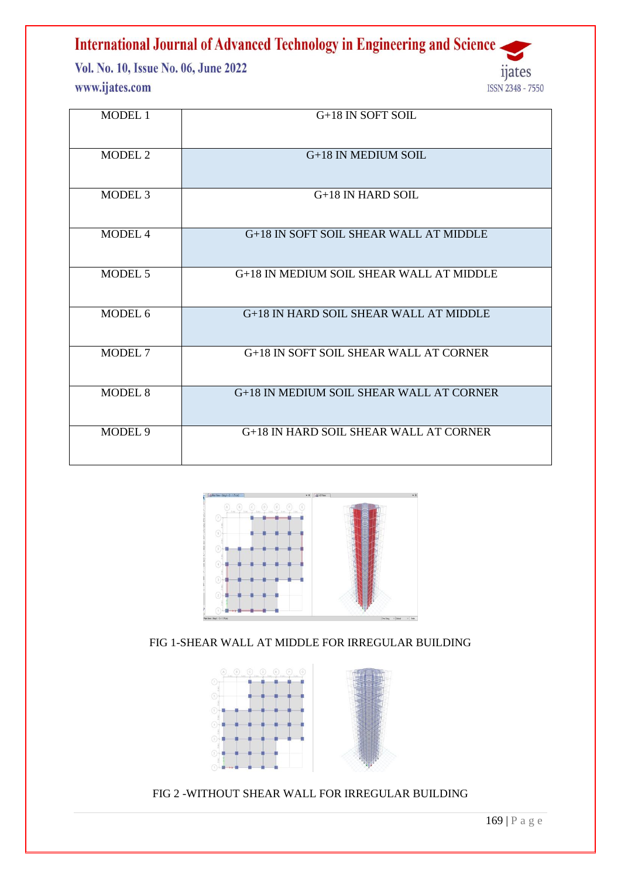Vol. No. 10, Issue No. 06, June 2022 www.ijates.com



| <b>MODEL 1</b>     | G+18 IN SOFT SOIL                        |
|--------------------|------------------------------------------|
| MODEL 2            | G+18 IN MEDIUM SOIL                      |
| MODEL <sub>3</sub> | $G+18$ IN HARD SOIL                      |
| MODEL 4            | G+18 IN SOFT SOIL SHEAR WALL AT MIDDLE   |
| MODEL 5            | G+18 IN MEDIUM SOIL SHEAR WALL AT MIDDLE |
| MODEL 6            | G+18 IN HARD SOIL SHEAR WALL AT MIDDLE   |
| MODEL 7            | G+18 IN SOFT SOIL SHEAR WALL AT CORNER   |
| <b>MODEL 8</b>     | G+18 IN MEDIUM SOIL SHEAR WALL AT CORNER |
| MODEL 9            | G+18 IN HARD SOIL SHEAR WALL AT CORNER   |



FIG 1-SHEAR WALL AT MIDDLE FOR IRREGULAR BUILDING



FIG 2 -WITHOUT SHEAR WALL FOR IRREGULAR BUILDING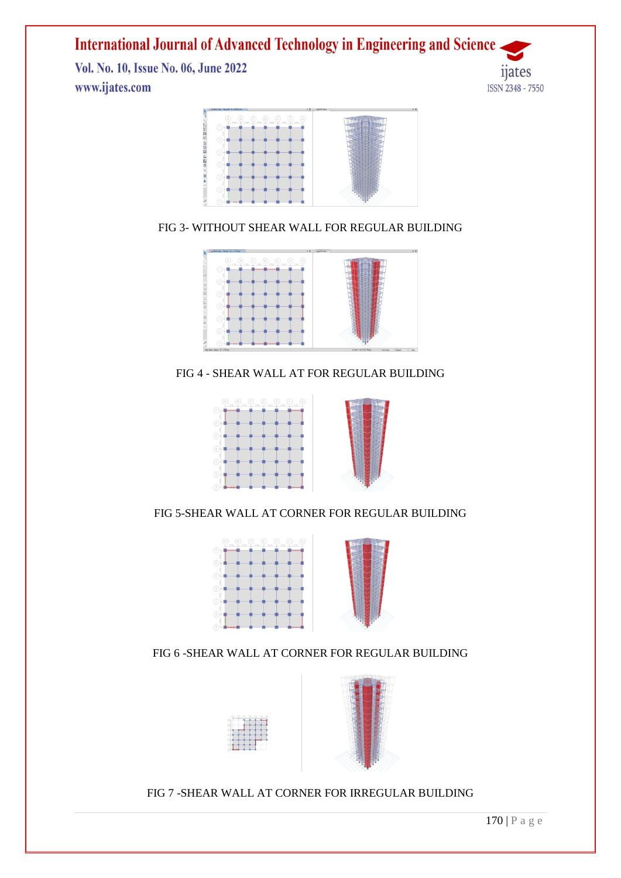Vol. No. 10, Issue No. 06, June 2022 www.ijates.com





FIG 3- WITHOUT SHEAR WALL FOR REGULAR BUILDING



FIG 4 - SHEAR WALL AT FOR REGULAR BUILDING



FIG 5-SHEAR WALL AT CORNER FOR REGULAR BUILDING



FIG 6 -SHEAR WALL AT CORNER FOR REGULAR BUILDING



FIG 7 -SHEAR WALL AT CORNER FOR IRREGULAR BUILDING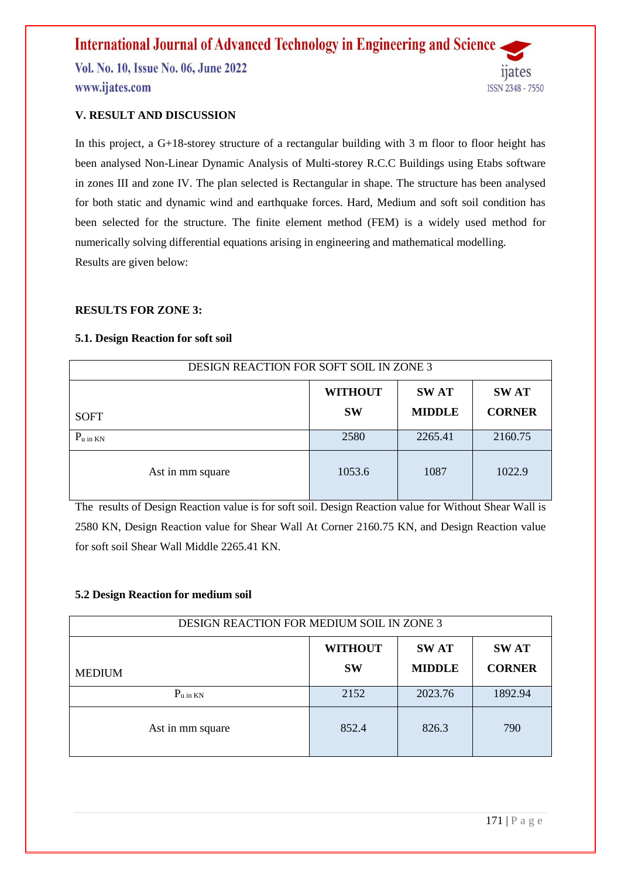#### **V. RESULT AND DISCUSSION**

In this project, a G+18-storey structure of a rectangular building with 3 m floor to floor height has been analysed Non-Linear Dynamic Analysis of Multi-storey R.C.C Buildings using Etabs software in zones III and zone IV. The plan selected is Rectangular in shape. The structure has been analysed for both static and dynamic wind and earthquake forces. Hard, Medium and soft soil condition has been selected for the structure. The finite element method (FEM) is a widely used method for numerically solving differential equations arising in engineering and mathematical modelling. Results are given below:

#### **RESULTS FOR ZONE 3:**

#### **5.1. Design Reaction for soft soil**

| <b>DESIGN REACTION FOR SOFT SOIL IN ZONE 3</b> |                                              |               |               |  |  |
|------------------------------------------------|----------------------------------------------|---------------|---------------|--|--|
|                                                | <b>WITHOUT</b><br><b>SWAT</b><br><b>SWAT</b> |               |               |  |  |
| <b>SOFT</b>                                    | <b>SW</b>                                    | <b>MIDDLE</b> | <b>CORNER</b> |  |  |
| $P_{u \text{ in KN}}$                          | 2580                                         | 2265.41       | 2160.75       |  |  |
| Ast in mm square                               | 1053.6                                       | 1087          | 1022.9        |  |  |

The results of Design Reaction value is for soft soil. Design Reaction value for Without Shear Wall is 2580 KN, Design Reaction value for Shear Wall At Corner 2160.75 KN, and Design Reaction value for soft soil Shear Wall Middle 2265.41 KN.

#### **5.2 Design Reaction for medium soil**

| <b>DESIGN REACTION FOR MEDIUM SOIL IN ZONE 3</b>                                                             |       |         |         |  |  |
|--------------------------------------------------------------------------------------------------------------|-------|---------|---------|--|--|
| <b>WITHOUT</b><br><b>SWAT</b><br><b>SWAT</b><br><b>MIDDLE</b><br><b>CORNER</b><br><b>SW</b><br><b>MEDIUM</b> |       |         |         |  |  |
| $P_{u \text{ in KN}}$                                                                                        | 2152  | 2023.76 | 1892.94 |  |  |
| Ast in mm square                                                                                             | 852.4 | 826.3   | 790     |  |  |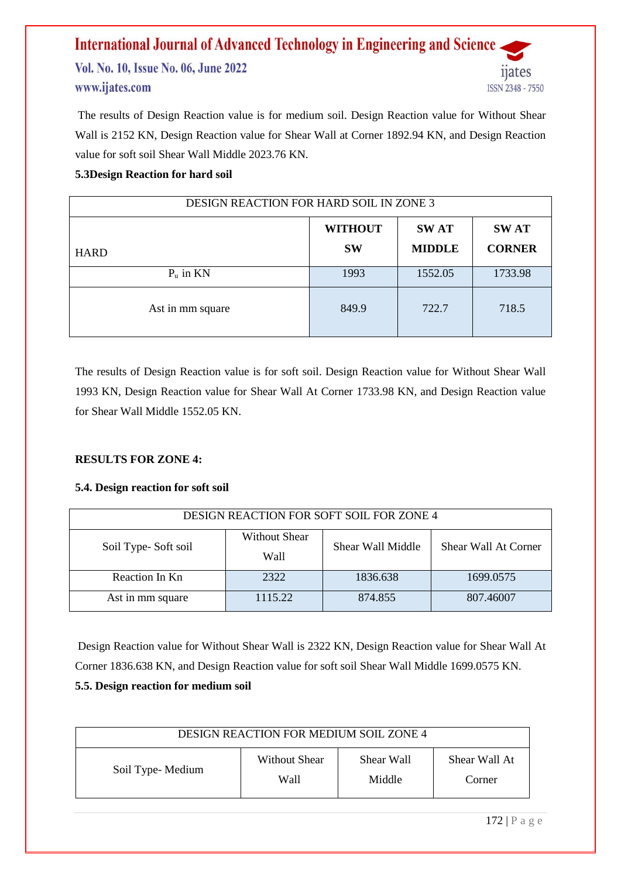The results of Design Reaction value is for medium soil. Design Reaction value for Without Shear Wall is 2152 KN, Design Reaction value for Shear Wall at Corner 1892.94 KN, and Design Reaction value for soft soil Shear Wall Middle 2023.76 KN.

#### **5.3Design Reaction for hard soil**

| <b>DESIGN REACTION FOR HARD SOIL IN ZONE 3</b> |                                                                                             |         |         |  |
|------------------------------------------------|---------------------------------------------------------------------------------------------|---------|---------|--|
| <b>HARD</b>                                    | <b>WITHOUT</b><br><b>SWAT</b><br><b>SWAT</b><br><b>MIDDLE</b><br><b>CORNER</b><br><b>SW</b> |         |         |  |
| $P_u$ in KN                                    | 1993                                                                                        | 1552.05 | 1733.98 |  |
| Ast in mm square                               | 849.9                                                                                       | 722.7   | 718.5   |  |

The results of Design Reaction value is for soft soil. Design Reaction value for Without Shear Wall 1993 KN, Design Reaction value for Shear Wall At Corner 1733.98 KN, and Design Reaction value for Shear Wall Middle 1552.05 KN.

#### **RESULTS FOR ZONE 4:**

#### **5.4. Design reaction for soft soil**

| DESIGN REACTION FOR SOFT SOIL FOR ZONE 4 |                        |                   |                      |  |
|------------------------------------------|------------------------|-------------------|----------------------|--|
| Soil Type-Soft soil                      | Without Shear<br>Wall- | Shear Wall Middle | Shear Wall At Corner |  |
| Reaction In Kn                           | 2322                   | 1836.638          | 1699.0575            |  |
| Ast in mm square                         | 1115.22                | 874.855           | 807.46007            |  |

Design Reaction value for Without Shear Wall is 2322 KN, Design Reaction value for Shear Wall At Corner 1836.638 KN, and Design Reaction value for soft soil Shear Wall Middle 1699.0575 KN. **5.5. Design reaction for medium soil**

| <b>DESIGN REACTION FOR MEDIUM SOIL ZONE 4</b> |               |            |               |  |
|-----------------------------------------------|---------------|------------|---------------|--|
| Soil Type-Medium                              | Without Shear | Shear Wall | Shear Wall At |  |
|                                               | Wall          | Middle     | Corner        |  |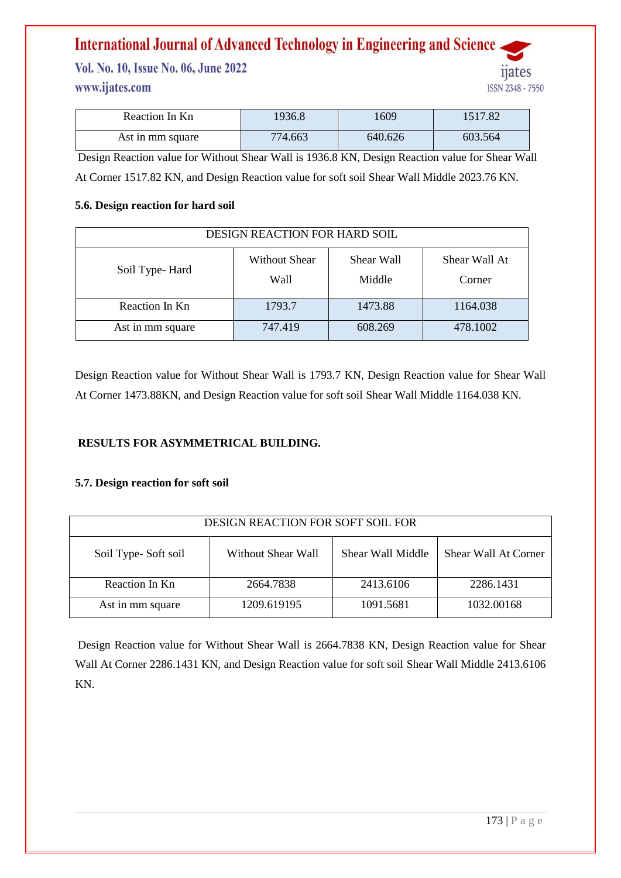Vol. No. 10, Issue No. 06, June 2022 www.ijates.com

| Reaction In Kn   | 1936.8  | 1609    | 1517.82 |
|------------------|---------|---------|---------|
| Ast in mm square | 774.663 | 640.626 | 603.564 |

Design Reaction value for Without Shear Wall is 1936.8 KN, Design Reaction value for Shear Wall At Corner 1517.82 KN, and Design Reaction value for soft soil Shear Wall Middle 2023.76 KN.

#### **5.6. Design reaction for hard soil**

| <b>DESIGN REACTION FOR HARD SOIL</b> |                              |                      |                         |  |
|--------------------------------------|------------------------------|----------------------|-------------------------|--|
| Soil Type-Hard                       | <b>Without Shear</b><br>Wall | Shear Wall<br>Middle | Shear Wall At<br>Corner |  |
| Reaction In Kn                       | 1793.7                       | 1473.88              | 1164.038                |  |
| Ast in mm square                     | 747.419                      | 608.269              | 478.1002                |  |

Design Reaction value for Without Shear Wall is 1793.7 KN, Design Reaction value for Shear Wall At Corner 1473.88KN, and Design Reaction value for soft soil Shear Wall Middle 1164.038 KN.

#### **RESULTS FOR ASYMMETRICAL BUILDING.**

#### **5.7. Design reaction for soft soil**

| DESIGN REACTION FOR SOFT SOIL FOR |                    |                   |                      |  |
|-----------------------------------|--------------------|-------------------|----------------------|--|
| Soil Type-Soft soil               | Without Shear Wall | Shear Wall Middle | Shear Wall At Corner |  |
| Reaction In Kn                    | 2664.7838          | 2413.6106         | 2286.1431            |  |
| Ast in mm square                  | 1209.619195        | 1091.5681         | 1032.00168           |  |

Design Reaction value for Without Shear Wall is 2664.7838 KN, Design Reaction value for Shear Wall At Corner 2286.1431 KN, and Design Reaction value for soft soil Shear Wall Middle 2413.6106 KN.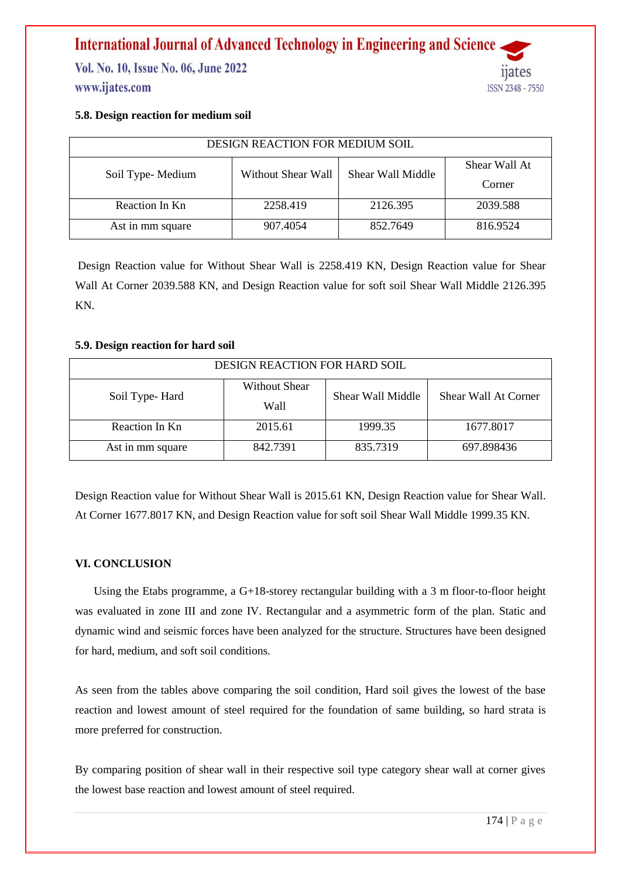Vol. No. 10, Issue No. 06, June 2022 www.ijates.com



#### **5.8. Design reaction for medium soil**

| DESIGN REACTION FOR MEDIUM SOIL |                    |                   |               |  |
|---------------------------------|--------------------|-------------------|---------------|--|
|                                 | Without Shear Wall | Shear Wall Middle | Shear Wall At |  |
| Soil Type-Medium                |                    |                   | Corner        |  |
| Reaction In Kn                  | 2258.419           | 2126.395          | 2039.588      |  |
| Ast in mm square                | 907.4054           | 852.7649          | 816.9524      |  |

Design Reaction value for Without Shear Wall is 2258.419 KN, Design Reaction value for Shear Wall At Corner 2039.588 KN, and Design Reaction value for soft soil Shear Wall Middle 2126.395 KN.

#### **5.9. Design reaction for hard soil**

| <b>DESIGN REACTION FOR HARD SOIL</b> |                        |                   |                      |
|--------------------------------------|------------------------|-------------------|----------------------|
| Soil Type-Hard                       | Without Shear<br>Wall- | Shear Wall Middle | Shear Wall At Corner |
| Reaction In Kn                       | 2015.61                | 1999.35           | 1677.8017            |
| Ast in mm square                     | 842.7391               | 835.7319          | 697.898436           |

Design Reaction value for Without Shear Wall is 2015.61 KN, Design Reaction value for Shear Wall. At Corner 1677.8017 KN, and Design Reaction value for soft soil Shear Wall Middle 1999.35 KN.

#### **VI. CONCLUSION**

Using the Etabs programme, a G+18-storey rectangular building with a 3 m floor-to-floor height was evaluated in zone III and zone IV. Rectangular and a asymmetric form of the plan. Static and dynamic wind and seismic forces have been analyzed for the structure. Structures have been designed for hard, medium, and soft soil conditions.

As seen from the tables above comparing the soil condition, Hard soil gives the lowest of the base reaction and lowest amount of steel required for the foundation of same building, so hard strata is more preferred for construction.

By comparing position of shear wall in their respective soil type category shear wall at corner gives the lowest base reaction and lowest amount of steel required.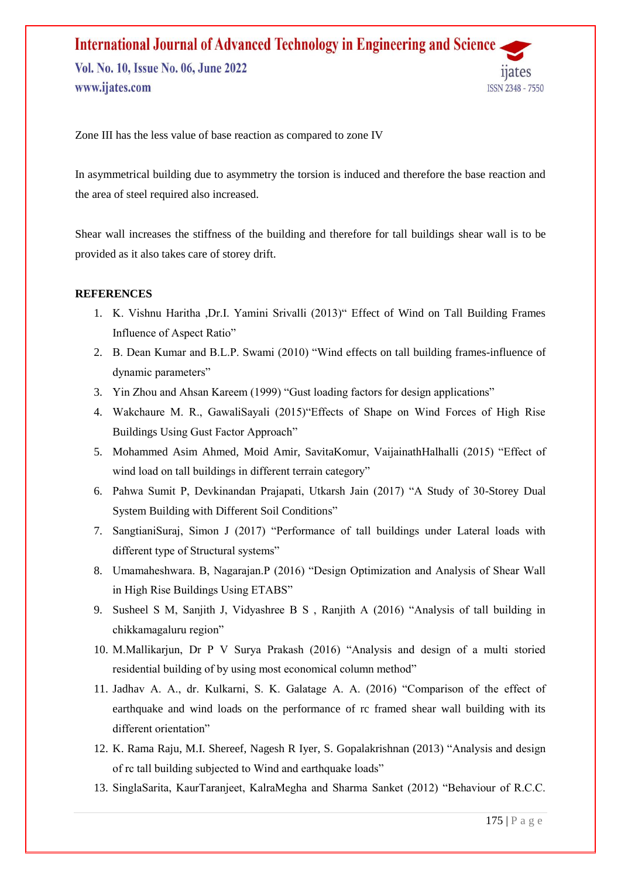Zone III has the less value of base reaction as compared to zone IV

In asymmetrical building due to asymmetry the torsion is induced and therefore the base reaction and the area of steel required also increased.

Shear wall increases the stiffness of the building and therefore for tall buildings shear wall is to be provided as it also takes care of storey drift.

#### **REFERENCES**

- 1. K. Vishnu Haritha ,Dr.I. Yamini Srivalli (2013)" Effect of Wind on Tall Building Frames Influence of Aspect Ratio"
- 2. B. Dean Kumar and B.L.P. Swami (2010) "Wind effects on tall building frames-influence of dynamic parameters"
- 3. Yin Zhou and Ahsan Kareem (1999) "Gust loading factors for design applications"
- 4. Wakchaure M. R., GawaliSayali (2015)"Effects of Shape on Wind Forces of High Rise Buildings Using Gust Factor Approach"
- 5. Mohammed Asim Ahmed, Moid Amir, SavitaKomur, VaijainathHalhalli (2015) "Effect of wind load on tall buildings in different terrain category"
- 6. Pahwa Sumit P, Devkinandan Prajapati, Utkarsh Jain (2017) "A Study of 30-Storey Dual System Building with Different Soil Conditions"
- 7. SangtianiSuraj, Simon J (2017) "Performance of tall buildings under Lateral loads with different type of Structural systems"
- 8. Umamaheshwara. B, Nagarajan.P (2016) "Design Optimization and Analysis of Shear Wall in High Rise Buildings Using ETABS"
- 9. Susheel S M, Sanjith J, Vidyashree B S , Ranjith A (2016) "Analysis of tall building in chikkamagaluru region"
- 10. M.Mallikarjun, Dr P V Surya Prakash (2016) "Analysis and design of a multi storied residential building of by using most economical column method"
- 11. Jadhav A. A., dr. Kulkarni, S. K. Galatage A. A. (2016) "Comparison of the effect of earthquake and wind loads on the performance of rc framed shear wall building with its different orientation"
- 12. K. Rama Raju, M.I. Shereef, Nagesh R Iyer, S. Gopalakrishnan (2013) "Analysis and design of rc tall building subjected to Wind and earthquake loads"
- 13. SinglaSarita, KaurTaranjeet, KalraMegha and Sharma Sanket (2012) "Behaviour of R.C.C.